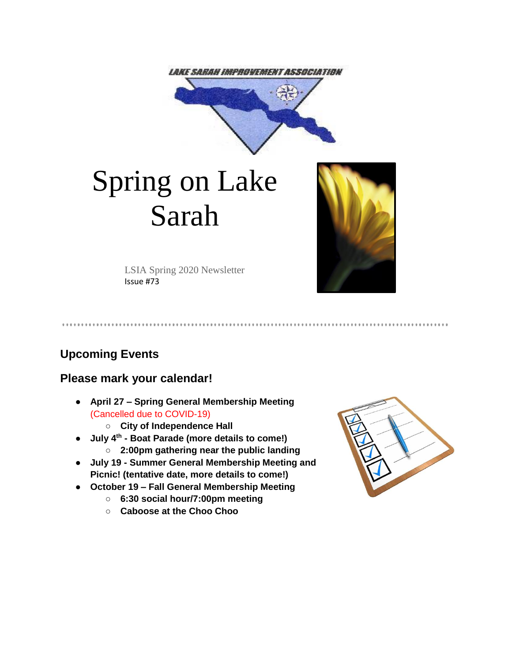

# Spring on Lake Sarah



LSIA Spring 2020 Newsletter Issue #73

**Upcoming Events**

# **Please mark your calendar!**

● **April 27 – Spring General Membership Meeting**  (Cancelled due to COVID-19)

○ **City of Independence Hall**

- **July 4th - Boat Parade (more details to come!)**
	- **2:00pm gathering near the public landing**
- **July 19 - Summer General Membership Meeting and Picnic! (tentative date, more details to come!)**
- **October 19 – Fall General Membership Meeting**
	- **6:30 social hour/7:00pm meeting**
	- **Caboose at the Choo Choo**

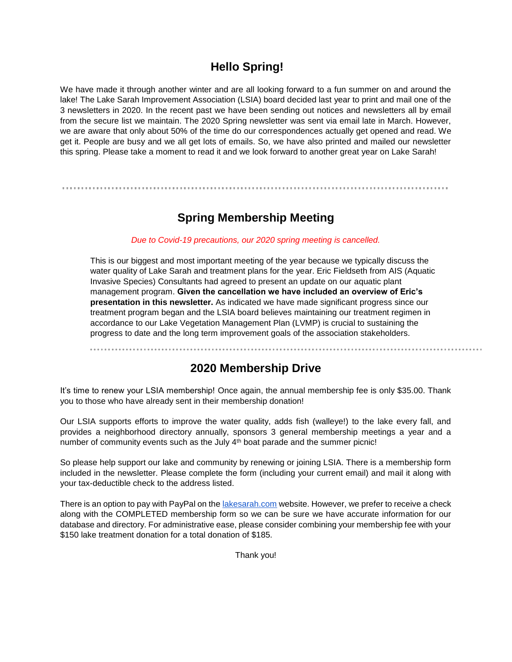## **Hello Spring!**

We have made it through another winter and are all looking forward to a fun summer on and around the lake! The Lake Sarah Improvement Association (LSIA) board decided last year to print and mail one of the 3 newsletters in 2020. In the recent past we have been sending out notices and newsletters all by email from the secure list we maintain. The 2020 Spring newsletter was sent via email late in March. However, we are aware that only about 50% of the time do our correspondences actually get opened and read. We get it. People are busy and we all get lots of emails. So, we have also printed and mailed our newsletter this spring. Please take a moment to read it and we look forward to another great year on Lake Sarah!

# **Spring Membership Meeting**

#### *Due to Covid-19 precautions, our 2020 spring meeting is cancelled.*

This is our biggest and most important meeting of the year because we typically discuss the water quality of Lake Sarah and treatment plans for the year. Eric Fieldseth from AIS (Aquatic Invasive Species) Consultants had agreed to present an update on our aquatic plant management program. **Given the cancellation we have included an overview of Eric's presentation in this newsletter.** As indicated we have made significant progress since our treatment program began and the LSIA board believes maintaining our treatment regimen in accordance to our Lake Vegetation Management Plan (LVMP) is crucial to sustaining the progress to date and the long term improvement goals of the association stakeholders.

## **2020 Membership Drive**

It's time to renew your LSIA membership! Once again, the annual membership fee is only \$35.00. Thank you to those who have already sent in their membership donation!

Our LSIA supports efforts to improve the water quality, adds fish (walleye!) to the lake every fall, and provides a neighborhood directory annually, sponsors 3 general membership meetings a year and a number of community events such as the July 4<sup>th</sup> boat parade and the summer picnic!

So please help support our lake and community by renewing or joining LSIA. There is a membership form included in the newsletter. Please complete the form (including your current email) and mail it along with your tax-deductible check to the address listed.

There is an option to pay with PayPal on the [lakesarah.com](http://lakesarah.com/) website. However, we prefer to receive a check along with the COMPLETED membership form so we can be sure we have accurate information for our database and directory. For administrative ease, please consider combining your membership fee with your \$150 lake treatment donation for a total donation of \$185.

Thank you!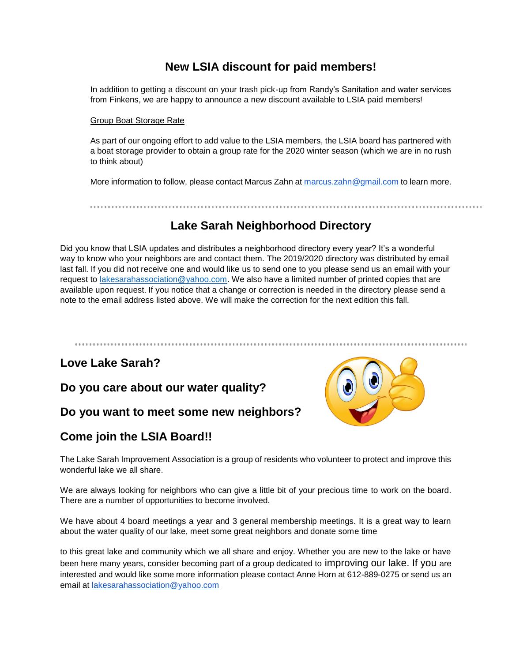## **New LSIA discount for paid members!**

In addition to getting a discount on your trash pick-up from Randy's Sanitation and water services from Finkens, we are happy to announce a new discount available to LSIA paid members!

#### Group Boat Storage Rate

As part of our ongoing effort to add value to the LSIA members, the LSIA board has partnered with a boat storage provider to obtain a group rate for the 2020 winter season (which we are in no rush to think about)

More information to follow, please contact Marcus Zahn at [marcus.zahn@gmail.com](mailto:marcus.zahn@gmail.com) to learn more.

**Lake Sarah Neighborhood Directory**

Did you know that LSIA updates and distributes a neighborhood directory every year? It's a wonderful way to know who your neighbors are and contact them. The 2019/2020 directory was distributed by email last fall. If you did not receive one and would like us to send one to you please send us an email with your request to [lakesarahassociation@yahoo.com.](mailto:lakesarahassociation@yahoo.com) We also have a limited number of printed copies that are available upon request. If you notice that a change or correction is needed in the directory please send a note to the email address listed above. We will make the correction for the next edition this fall.

# **Love Lake Sarah?**

**Do you care about our water quality?**

## **Do you want to meet some new neighbors?**

# **Come join the LSIA Board!!**



The Lake Sarah Improvement Association is a group of residents who volunteer to protect and improve this wonderful lake we all share.

We are always looking for neighbors who can give a little bit of your precious time to work on the board. There are a number of opportunities to become involved.

We have about 4 board meetings a year and 3 general membership meetings. It is a great way to learn about the water quality of our lake, meet some great neighbors and donate some time

to this great lake and community which we all share and enjoy. Whether you are new to the lake or have been here many years, consider becoming part of a group dedicated to improving our lake. If you are interested and would like some more information please contact Anne Horn at 612-889-0275 or send us an email at [lakesarahassociation@yahoo.com](mailto:lakesarahassociation@yahoo.com)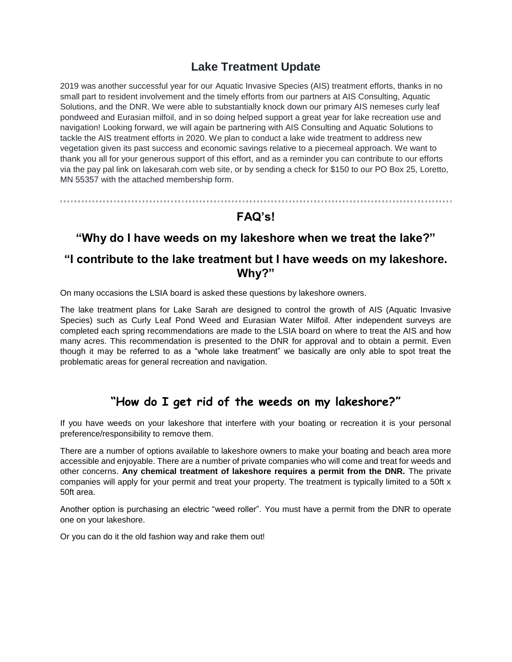## **Lake Treatment Update**

2019 was another successful year for our Aquatic Invasive Species (AIS) treatment efforts, thanks in no small part to resident involvement and the timely efforts from our partners at AIS Consulting, Aquatic Solutions, and the DNR. We were able to substantially knock down our primary AIS nemeses curly leaf pondweed and Eurasian milfoil, and in so doing helped support a great year for lake recreation use and navigation! Looking forward, we will again be partnering with AIS Consulting and Aquatic Solutions to tackle the AIS treatment efforts in 2020. We plan to conduct a lake wide treatment to address new vegetation given its past success and economic savings relative to a piecemeal approach. We want to thank you all for your generous support of this effort, and as a reminder you can contribute to our efforts via the pay pal link on lakesarah.com web site, or by sending a check for \$150 to our PO Box 25, Loretto, MN 55357 with the attached membership form.

# **FAQ's!**

## **"Why do I have weeds on my lakeshore when we treat the lake?"**

## **"I contribute to the lake treatment but I have weeds on my lakeshore. Why?"**

On many occasions the LSIA board is asked these questions by lakeshore owners.

The lake treatment plans for Lake Sarah are designed to control the growth of AIS (Aquatic Invasive Species) such as Curly Leaf Pond Weed and Eurasian Water Milfoil. After independent surveys are completed each spring recommendations are made to the LSIA board on where to treat the AIS and how many acres. This recommendation is presented to the DNR for approval and to obtain a permit. Even though it may be referred to as a "whole lake treatment" we basically are only able to spot treat the problematic areas for general recreation and navigation.

# **"How do I get rid of the weeds on my lakeshore?"**

If you have weeds on your lakeshore that interfere with your boating or recreation it is your personal preference/responsibility to remove them.

There are a number of options available to lakeshore owners to make your boating and beach area more accessible and enjoyable. There are a number of private companies who will come and treat for weeds and other concerns. **Any chemical treatment of lakeshore requires a permit from the DNR.** The private companies will apply for your permit and treat your property. The treatment is typically limited to a 50ft x 50ft area.

Another option is purchasing an electric "weed roller". You must have a permit from the DNR to operate one on your lakeshore.

Or you can do it the old fashion way and rake them out!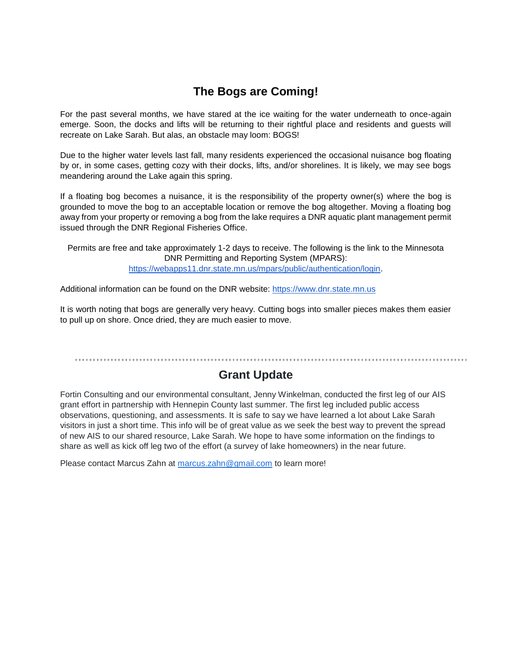# **The Bogs are Coming!**

For the past several months, we have stared at the ice waiting for the water underneath to once-again emerge. Soon, the docks and lifts will be returning to their rightful place and residents and guests will recreate on Lake Sarah. But alas, an obstacle may loom: BOGS!

Due to the higher water levels last fall, many residents experienced the occasional nuisance bog floating by or, in some cases, getting cozy with their docks, lifts, and/or shorelines. It is likely, we may see bogs meandering around the Lake again this spring.

If a floating bog becomes a nuisance, it is the responsibility of the property owner(s) where the bog is grounded to move the bog to an acceptable location or remove the bog altogether. Moving a floating bog away from your property or removing a bog from the lake requires a DNR aquatic plant management permit issued through the DNR Regional Fisheries Office.

Permits are free and take approximately 1-2 days to receive. The following is the link to the Minnesota DNR Permitting and Reporting System (MPARS)[:](https://webapps11.dnr.state.mn.us/mpars/public/authentication/login) [https://webapps11.dnr.state.mn.us/mpars/public/authentication/login.](https://webapps11.dnr.state.mn.us/mpars/public/authentication/login)

Additional information can be found on the DNR website[:](https://www.dnr.state.mn.us/) [https://www.dnr.state.mn.us](https://www.dnr.state.mn.us/)

It is worth noting that bogs are generally very heavy. Cutting bogs into smaller pieces makes them easier to pull up on shore. Once dried, they are much easier to move.

# **Grant Update**

Fortin Consulting and our environmental consultant, Jenny Winkelman, conducted the first leg of our AIS grant effort in partnership with Hennepin County last summer. The first leg included public access observations, questioning, and assessments. It is safe to say we have learned a lot about Lake Sarah visitors in just a short time. This info will be of great value as we seek the best way to prevent the spread of new AIS to our shared resource, Lake Sarah. We hope to have some information on the findings to share as well as kick off leg two of the effort (a survey of lake homeowners) in the near future.

Please contact Marcus Zahn at marcus.zahn@gmail.com to learn more!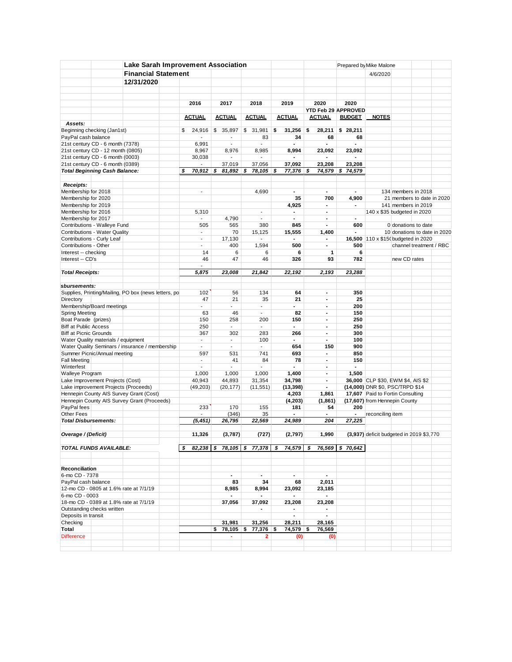|                                        | <b>Lake Sarah Improvement Association</b>            |                          |                          |                          |                | Prepared by Mike Malone  |                 |                                          |              |                              |  |
|----------------------------------------|------------------------------------------------------|--------------------------|--------------------------|--------------------------|----------------|--------------------------|-----------------|------------------------------------------|--------------|------------------------------|--|
|                                        | <b>Financial Statement</b>                           |                          |                          |                          |                |                          |                 | 4/6/2020                                 |              |                              |  |
|                                        | 12/31/2020                                           |                          |                          |                          |                |                          |                 |                                          |              |                              |  |
|                                        |                                                      |                          |                          |                          |                |                          |                 |                                          |              |                              |  |
|                                        |                                                      |                          |                          |                          |                |                          |                 |                                          |              |                              |  |
|                                        |                                                      |                          |                          |                          |                |                          |                 |                                          |              |                              |  |
|                                        |                                                      | 2016                     | 2017                     | 2018                     | 2019           | 2020                     | 2020            |                                          |              |                              |  |
|                                        |                                                      |                          |                          |                          |                | YTD Feb 29 APPROVED      |                 |                                          |              |                              |  |
|                                        |                                                      | <b>ACTUAL</b>            | <b>ACTUAL</b>            | <b>ACTUAL</b>            | <b>ACTUAL</b>  | <b>ACTUAL</b>            | <b>BUDGET</b>   | <b>NOTES</b>                             |              |                              |  |
| Assets:                                |                                                      |                          |                          |                          |                |                          |                 |                                          |              |                              |  |
| Beginning checking (Jan1st)            |                                                      | 24,916<br>\$             | \$<br>35,897             | \$31,981                 | \$<br>31,256   | \$<br>28,211             | \$28,211        |                                          |              |                              |  |
| PayPal cash balance                    |                                                      | $\overline{\phantom{a}}$ | $\overline{\phantom{a}}$ | 83                       | 34             | 68                       | 68              |                                          |              |                              |  |
| 21st century CD - 6 month (7378)       |                                                      | 6,991                    | $\overline{\phantom{a}}$ |                          |                |                          |                 |                                          |              |                              |  |
| 21st century CD - 12 month (0805)      |                                                      | 8,967                    | 8,976                    | 8,985                    | 8,994          | 23,092                   | 23.092          |                                          |              |                              |  |
| 21st century CD - 6 month (0003)       |                                                      | 30,038                   |                          |                          |                | ٠                        |                 |                                          |              |                              |  |
| 21st century CD - 6 month (0389)       |                                                      | $\overline{\phantom{a}}$ | 37,019                   | 37,056                   | 37,092         | 23,208                   | 23,208          |                                          |              |                              |  |
| <b>Total Beginning Cash Balance:</b>   |                                                      | S<br>70,912              | \$<br>81,892             | \$<br>78,105             | \$<br>77,376   | \$<br>74,579             | \$74,579        |                                          |              |                              |  |
|                                        |                                                      |                          |                          |                          |                |                          |                 |                                          |              |                              |  |
| Receipts:                              |                                                      |                          |                          |                          |                |                          |                 |                                          |              |                              |  |
| Membership for 2018                    |                                                      | $\overline{\phantom{a}}$ |                          | 4,690                    | $\blacksquare$ | $\blacksquare$           | ٠               |                                          |              | 134 members in 2018          |  |
|                                        |                                                      |                          |                          |                          |                |                          |                 |                                          |              |                              |  |
| Membership for 2020                    |                                                      |                          |                          |                          | 35             | 700                      | 4,900           |                                          |              | 21 members to date in 2020   |  |
| Membership for 2019                    |                                                      |                          |                          |                          | 4,925          | $\blacksquare$           | ٠               |                                          |              | 141 members in 2019          |  |
| Membership for 2016                    |                                                      | 5,310                    |                          | $\overline{\phantom{a}}$ | $\blacksquare$ | $\blacksquare$           |                 | 140 x \$35 budgeted in 2020              |              |                              |  |
| Membership for 2017                    |                                                      | $\overline{a}$           | 4,790                    | $\overline{\phantom{a}}$ | $\blacksquare$ | $\mathbf{r}$             | $\mathbf{r}$    |                                          |              |                              |  |
| Contributions - Walleye Fund           |                                                      | 505                      | 565                      | 380                      | 845            | $\blacksquare$           | 600             |                                          |              | 0 donations to date          |  |
| Contributions - Water Quality          |                                                      | $\blacksquare$           | 70                       | 15,125                   | 15,555         | 1,400                    | $\blacksquare$  |                                          |              | 10 donations to date in 2020 |  |
| Contributions - Curly Leaf             |                                                      | $\blacksquare$           | 17,130                   |                          |                | ٠                        |                 | 16,500 110 x \$150 budgeted in 2020      |              |                              |  |
| Contributions - Other                  |                                                      | $\overline{\phantom{a}}$ | 400                      | 1,594                    | 500            | $\blacksquare$           | 500             |                                          |              | channel treatment / RBC      |  |
| Interest -- checking                   |                                                      | 14                       | 6                        | 6                        | 6              | 1                        | 6               |                                          |              |                              |  |
| Interest -- CD's                       |                                                      | 46                       | 47                       | 46                       | 326            | 93                       | 782             |                                          | new CD rates |                              |  |
|                                        |                                                      | $\mathbf{r}$             |                          |                          |                |                          |                 |                                          |              |                              |  |
| <b>Total Receipts:</b>                 |                                                      | 5,875                    | 23.008                   | 21,842                   | 22,192         | 2,193                    | 23,288          |                                          |              |                              |  |
|                                        |                                                      |                          |                          |                          |                |                          |                 |                                          |              |                              |  |
|                                        |                                                      |                          |                          |                          |                |                          |                 |                                          |              |                              |  |
| sbursements:                           |                                                      |                          |                          |                          |                |                          |                 |                                          |              |                              |  |
|                                        | Supplies, Printing/Mailing, PO box (news letters, po | 102                      | 56                       | 134                      | 64             | $\blacksquare$           | 350             |                                          |              |                              |  |
| Directory                              |                                                      | 47                       | 21                       | 35                       | 21             | $\blacksquare$           | 25              |                                          |              |                              |  |
| Membership/Board meetings              |                                                      | $\overline{\phantom{a}}$ | $\overline{\phantom{a}}$ | $\blacksquare$           | $\blacksquare$ | $\blacksquare$           | 200             |                                          |              |                              |  |
| <b>Spring Meeting</b>                  |                                                      | 63                       | 46                       | $\overline{\phantom{a}}$ | 82             | $\blacksquare$           | 150             |                                          |              |                              |  |
| Boat Parade (prizes)                   |                                                      | 150                      | 258                      | 200                      | 150            | $\overline{\phantom{a}}$ | 250             |                                          |              |                              |  |
| <b>Biff at Public Access</b>           |                                                      | 250                      | $\overline{\phantom{a}}$ | $\overline{a}$           | $\blacksquare$ | $\blacksquare$           | 250             |                                          |              |                              |  |
| <b>Biff at Picnic Grounds</b>          |                                                      | 367                      | 302                      | 283                      | 266            | $\blacksquare$           | 300             |                                          |              |                              |  |
| Water Quality materials / equipment    |                                                      | $\blacksquare$           | $\sim$                   | 100                      | ٠              | $\blacksquare$           | 100             |                                          |              |                              |  |
|                                        | Water Quality Seminars / insurance / membership      | $\overline{\phantom{a}}$ | $\sim$                   | $\blacksquare$           | 654            | 150                      | 900             |                                          |              |                              |  |
| Summer Picnic/Annual meeting           |                                                      | 597                      | 531                      | 741                      | 693            | $\mathbf{r}$             | 850             |                                          |              |                              |  |
| <b>Fall Meeting</b>                    |                                                      | $\blacksquare$           | 41                       | 84                       | 78             | $\blacksquare$           | 150             |                                          |              |                              |  |
|                                        |                                                      | $\overline{a}$           | $\blacksquare$           |                          |                |                          |                 |                                          |              |                              |  |
| Winterfest                             |                                                      |                          |                          | $\overline{a}$           | $\blacksquare$ | $\overline{\phantom{a}}$ | $\blacksquare$  |                                          |              |                              |  |
| <b>Walleye Program</b>                 |                                                      | 1,000                    | 1,000                    | 1,000                    | 1,400          | $\blacksquare$           | 1,500           |                                          |              |                              |  |
| Lake Improvement Projects (Cost)       |                                                      | 40,943                   | 44,893                   | 31,354                   | 34,798         | $\blacksquare$           |                 | 36,000 CLP \$30, EWM \$4, AIS \$2        |              |                              |  |
| Lake improvement Projects (Proceeds)   |                                                      | (49,203)                 | (20, 177)                | (11, 551)                | (13, 398)      | $\blacksquare$           |                 | (14,000) DNR \$0, PSC/TRPD \$14          |              |                              |  |
|                                        | Hennepin County AIS Survey Grant (Cost)              |                          |                          |                          | 4,203          | 1,861                    |                 | 17,607 Paid to Fortin Consulting         |              |                              |  |
|                                        | Hennepin County AIS Survey Grant (Proceeds)          |                          |                          |                          | (4,203)        | (1, 861)                 |                 | (17,607) from Hennepin County            |              |                              |  |
| PayPal fees                            |                                                      | 233                      | 170                      | 155                      | 181            | 54                       | 200             |                                          |              |                              |  |
| Other Fees                             |                                                      |                          | (346)                    | 35                       |                | $\blacksquare$           | $\blacksquare$  | reconciling item                         |              |                              |  |
| <b>Total Disbursements:</b>            |                                                      | (5, 451)                 | 26,795                   | 22,569                   | 24,989         | 204                      | 27,225          |                                          |              |                              |  |
|                                        |                                                      |                          |                          |                          |                |                          |                 |                                          |              |                              |  |
| Overage / (Deficit)                    |                                                      | 11,326                   | (3,787)                  |                          |                | 1,990                    |                 | (3,937) deficit budgeted in 2019 \$3,770 |              |                              |  |
|                                        |                                                      |                          |                          | (727)                    | (2,797)        |                          |                 |                                          |              |                              |  |
|                                        |                                                      |                          |                          |                          |                |                          |                 |                                          |              |                              |  |
| <b>TOTAL FUNDS AVAILABLE:</b>          |                                                      | \$<br>$82,238$ \$        |                          | 78,105 \$77,378 \$       | 74,579         | \$                       | 76,569 \$70,642 |                                          |              |                              |  |
|                                        |                                                      |                          |                          |                          |                |                          |                 |                                          |              |                              |  |
|                                        |                                                      |                          |                          |                          |                |                          |                 |                                          |              |                              |  |
| <b>Reconciliation</b>                  |                                                      |                          |                          |                          |                |                          |                 |                                          |              |                              |  |
| 6-mo CD - 7378                         |                                                      |                          | $\blacksquare$           | $\blacksquare$           | $\blacksquare$ | $\blacksquare$           |                 |                                          |              |                              |  |
| PayPal cash balance                    |                                                      |                          | 83                       | 34                       | 68             | 2,011                    |                 |                                          |              |                              |  |
| 12-mo CD - 0805 at 1.6% rate at 7/1/19 |                                                      |                          | 8,985                    | 8,994                    | 23,092         | 23,185                   |                 |                                          |              |                              |  |
| 6-mo CD - 0003                         |                                                      |                          |                          | $\overline{\phantom{a}}$ |                | $\sim$                   |                 |                                          |              |                              |  |
|                                        | 18-mo CD - 0389 at 1.8% rate at 7/1/19               |                          | 37,056                   | 37,092                   | 23,208         | 23,208                   |                 |                                          |              |                              |  |
|                                        |                                                      |                          |                          | $\blacksquare$           | $\blacksquare$ | $\sim$                   |                 |                                          |              |                              |  |
|                                        |                                                      |                          |                          |                          | ٠              | $\blacksquare$           |                 |                                          |              |                              |  |
| Outstanding checks written             |                                                      |                          |                          |                          |                |                          |                 |                                          |              |                              |  |
| Deposits in transit                    |                                                      |                          |                          |                          |                |                          |                 |                                          |              |                              |  |
| Checking                               |                                                      |                          | 31,981                   | 31,256                   | 28,211         | 28,165                   |                 |                                          |              |                              |  |
| Total                                  |                                                      |                          | $78,105$ \$<br>\$        | 77,376 \$                | 74,579 \$      | 76,569                   |                 |                                          |              |                              |  |
| <b>Difference</b>                      |                                                      |                          |                          | 2                        | (0)            | (0)                      |                 |                                          |              |                              |  |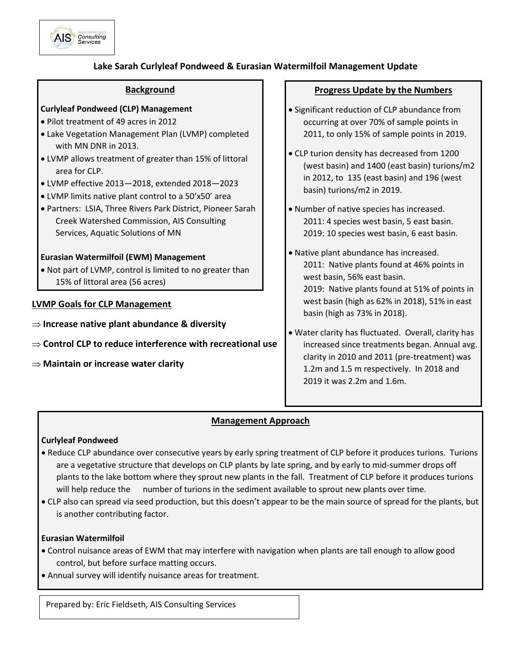

## **Lake Sarah Curlyleaf Pondweed & Eurasian Watermilfoil Management Update**

#### **Background**

## **Curlyleaf Pondweed (CLP) Management**

- Pilot treatment of 49 acres in 2012
- Lake Vegetation Management Plan (LVMP) completed with MN DNR in 2013.
- LVMP allows treatment of greater than 15% of littoral area for CLP.
- LVMP effective 2013—2018, extended 2018—2023
- LVMP limits native plant control to a 50'x50' area
- Partners: LSIA, Three Rivers Park District, Pioneer Sarah Creek Watershed Commission, AIS Consulting Services, Aquatic Solutions of MN

#### **Eurasian Watermilfoil (EWM) Management**

 Not part of LVMP, control is limited to no greater than 15% of littoral area (56 acres)

#### **LVMP Goals for CLP Management**

- **Increase native plant abundance & diversity**
- **⇒ Control CLP to reduce interference with recreational use**
- **Maintain or increase water clarity**

#### **Progress Update by the Numbers**

- Significant reduction of CLP abundance from occurring at over 70% of sample points in 2011, to only 15% of sample points in 2019.
- CLP turion density has decreased from 1200 (west basin) and 1400 (east basin) turions/m2 in 2012, to 135 (east basin) and 196 (west basin) turions/m2 in 2019.
- Number of native species has increased. 2011: 4 species west basin, 5 east basin. 2019: 10 species west basin, 6 east basin.
- Native plant abundance has increased. 2011: Native plants found at 46% points in west basin, 56% east basin. 2019: Native plants found at 51% of points in

west basin (high as 62% in 2018), 51% in east basin (high as 73% in 2018).

 Water clarity has fluctuated. Overall, clarity has increased since treatments began. Annual avg. clarity in 2010 and 2011 (pre-treatment) was 1.2m and 1.5 m respectively. In 2018 and 2019 it was 2.2m and 1.6m.

## **Management Approach**

#### **Curlyleaf Pondweed**

- Reduce CLP abundance over consecutive years by early spring treatment of CLP before it produces turions. Turions are a vegetative structure that develops on CLP plants by late spring, and by early to mid-summer drops off plants to the lake bottom where they sprout new plants in the fall. Treatment of CLP before it produces turions will help reduce the number of turions in the sediment available to sprout new plants over time.
- CLP also can spread via seed production, but this doesn't appear to be the main source of spread for the plants, but is another contributing factor.

#### **Eurasian Watermilfoil**

- Control nuisance areas of EWM that may interfere with navigation when plants are tall enough to allow good control, but before surface matting occurs.
- Annual survey will identify nuisance areas for treatment.

Prepared by: Eric Fieldseth, AIS Consulting Services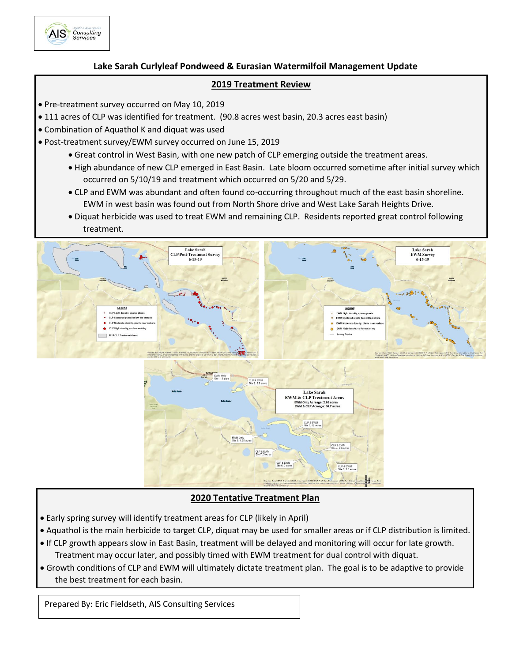

#### **Lake Sarah Curlyleaf Pondweed & Eurasian Watermilfoil Management Update**

#### **2019 Treatment Review**

- Pre-treatment survey occurred on May 10, 2019
- 111 acres of CLP was identified for treatment. (90.8 acres west basin, 20.3 acres east basin)
- Combination of Aquathol K and diquat was used
- Post-treatment survey/EWM survey occurred on June 15, 2019
	- Great control in West Basin, with one new patch of CLP emerging outside the treatment areas.
	- High abundance of new CLP emerged in East Basin. Late bloom occurred sometime after initial survey which occurred on 5/10/19 and treatment which occurred on 5/20 and 5/29.
	- CLP and EWM was abundant and often found co-occurring throughout much of the east basin shoreline. EWM in west basin was found out from North Shore drive and West Lake Sarah Heights Drive.
	- Diquat herbicide was used to treat EWM and remaining CLP. Residents reported great control following treatment.



#### **2020 Tentative Treatment Plan**

- Early spring survey will identify treatment areas for CLP (likely in April)
- Aquathol is the main herbicide to target CLP, diquat may be used for smaller areas or if CLP distribution is limited.
- **•** If CLP growth appears slow in East Basin, treatment will be delayed and monitoring will occur for late growth.
- Treatment may occur later, and possibly timed with EWM treatment for dual control with diquat.
- . Growth conditions of CLP and EWM will ultimately dictate treatment plan. The goal is to be adaptive to provide  $\frac{1}{2}$  host treatment for  the best treatment for each basin.

Prepared By: Eric Fieldseth, AIS Consulting Services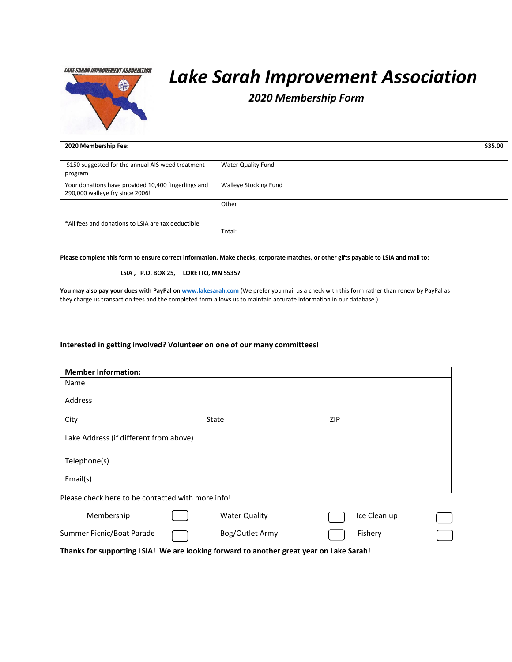**LAKE SARAH IMPROVEMENT ASSOCIATION** 



# *Lake Sarah Improvement Association*

 *2020 Membership Form*

| 2020 Membership Fee:                                                                   | \$35.00                   |
|----------------------------------------------------------------------------------------|---------------------------|
| \$150 suggested for the annual AIS weed treatment<br>program                           | <b>Water Quality Fund</b> |
| Your donations have provided 10,400 fingerlings and<br>290,000 walleye fry since 2006! | Walleye Stocking Fund     |
|                                                                                        | Other                     |
| *All fees and donations to LSIA are tax deductible                                     | Total:                    |

**Please complete this form to ensure correct information. Make checks, corporate matches, or other gifts payable to LSIA and mail to:**

#### **LSIA , P.O. BOX 25, LORETTO, MN 55357**

**You may also pay your dues with PayPal o[n www.lakesarah.com](http://lakesarah.com/lakesarahassociation/lsiamembershipinfo.html)** (We prefer you mail us a check with this form rather than renew by PayPal as they charge us transaction fees and the completed form allows us to maintain accurate information in our database.)

#### **Interested in getting involved? Volunteer on one of our many committees!**

| <b>Member Information:</b>                                                              |  |                      |            |              |  |  |  |  |
|-----------------------------------------------------------------------------------------|--|----------------------|------------|--------------|--|--|--|--|
| Name                                                                                    |  |                      |            |              |  |  |  |  |
| Address                                                                                 |  |                      |            |              |  |  |  |  |
| City                                                                                    |  | State                | <b>ZIP</b> |              |  |  |  |  |
| Lake Address (if different from above)                                                  |  |                      |            |              |  |  |  |  |
| Telephone(s)                                                                            |  |                      |            |              |  |  |  |  |
| Email(s)                                                                                |  |                      |            |              |  |  |  |  |
| Please check here to be contacted with more info!                                       |  |                      |            |              |  |  |  |  |
| Membership                                                                              |  | <b>Water Quality</b> |            | Ice Clean up |  |  |  |  |
| Summer Picnic/Boat Parade                                                               |  | Bog/Outlet Army      |            | Fishery      |  |  |  |  |
| Thanks for supporting LSIA! We are looking forward to another great year on Lake Sarah! |  |                      |            |              |  |  |  |  |